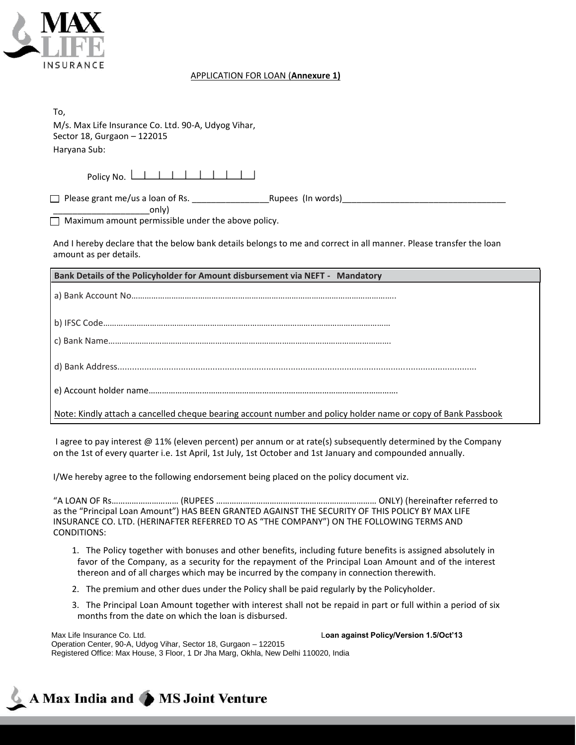

# APPLICATION FOR LOAN (**Annexure 1)**

| To,<br>M/s. Max Life Insurance Co. Ltd. 90-A, Udyog Vihar,<br>Sector 18, Gurgaon - 122015<br>Haryana Sub:                                    |
|----------------------------------------------------------------------------------------------------------------------------------------------|
|                                                                                                                                              |
| Policy No. <u>             </u>                                                                                                              |
|                                                                                                                                              |
| only)<br>$\Box$ Maximum amount permissible under the above policy.                                                                           |
| And I hereby declare that the below bank details belongs to me and correct in all manner. Please transfer the loan<br>amount as per details. |
|                                                                                                                                              |
| Bank Details of the Policyholder for Amount disbursement via NEFT - Mandatory                                                                |
|                                                                                                                                              |
|                                                                                                                                              |
|                                                                                                                                              |
|                                                                                                                                              |
|                                                                                                                                              |

I agree to pay interest @ 11% (eleven percent) per annum or at rate(s) subsequently determined by the Company on the 1st of every quarter i.e. 1st April, 1st July, 1st October and 1st January and compounded annually.

I/We hereby agree to the following endorsement being placed on the policy document viz.

"A LOAN OF Rs………………………… (RUPEES ……………………………………………………………… ONLY) (hereinafter referred to as the "Principal Loan Amount") HAS BEEN GRANTED AGAINST THE SECURITY OF THIS POLICY BY MAX LIFE INSURANCE CO. LTD. (HERINAFTER REFERRED TO AS "THE COMPANY") ON THE FOLLOWING TERMS AND CONDITIONS:

- 1. The Policy together with bonuses and other benefits, including future benefits is assigned absolutely in favor of the Company, as a security for the repayment of the Principal Loan Amount and of the interest thereon and of all charges which may be incurred by the company in connection therewith.
- 2. The premium and other dues under the Policy shall be paid regularly by the Policyholder.
- 3. The Principal Loan Amount together with interest shall not be repaid in part or full within a period of six months from the date on which the loan is disbursed.

Max Life Insurance Co. Ltd. L**oan against Policy/Version 1.5/Oct'13** Operation Center, 90-A, Udyog Vihar, Sector 18, Gurgaon – 122015 Registered Office: Max House, 3 Floor, 1 Dr Jha Marg, Okhla, New Delhi 110020, India

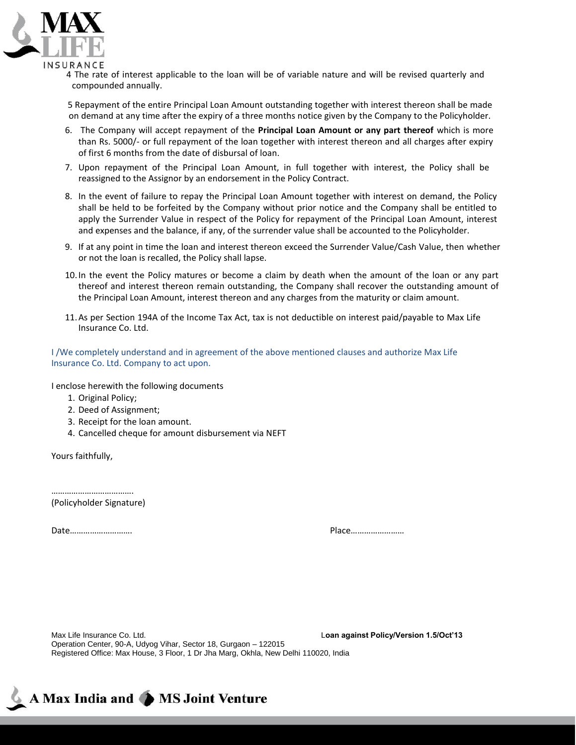

4 The rate of interest applicable to the loan will be of variable nature and will be revised quarterly and compounded annually.

 5 Repayment of the entire Principal Loan Amount outstanding together with interest thereon shall be made on demand at any time after the expiry of a three months notice given by the Company to the Policyholder.

- 6. The Company will accept repayment of the **Principal Loan Amount or any part thereof** which is more than Rs. 5000/- or full repayment of the loan together with interest thereon and all charges after expiry of first 6 months from the date of disbursal of loan.
- 7. Upon repayment of the Principal Loan Amount, in full together with interest, the Policy shall be reassigned to the Assignor by an endorsement in the Policy Contract.
- 8. In the event of failure to repay the Principal Loan Amount together with interest on demand, the Policy shall be held to be forfeited by the Company without prior notice and the Company shall be entitled to apply the Surrender Value in respect of the Policy for repayment of the Principal Loan Amount, interest and expenses and the balance, if any, of the surrender value shall be accounted to the Policyholder.
- 9. If at any point in time the loan and interest thereon exceed the Surrender Value/Cash Value, then whether or not the loan is recalled, the Policy shall lapse.
- 10.In the event the Policy matures or become a claim by death when the amount of the loan or any part thereof and interest thereon remain outstanding, the Company shall recover the outstanding amount of the Principal Loan Amount, interest thereon and any charges from the maturity or claim amount.
- 11.As per Section 194A of the Income Tax Act, tax is not deductible on interest paid/payable to Max Life Insurance Co. Ltd.

I /We completely understand and in agreement of the above mentioned clauses and authorize Max Life Insurance Co. Ltd. Company to act upon.

I enclose herewith the following documents

- 1. Original Policy;
- 2. Deed of Assignment;
- 3. Receipt for the loan amount.
- 4. Cancelled cheque for amount disbursement via NEFT

Yours faithfully,

………………………………. (Policyholder Signature)

Date………………………. Place……………………

Max Life Insurance Co. Ltd. L**oan against Policy/Version 1.5/Oct'13** Operation Center, 90-A, Udyog Vihar, Sector 18, Gurgaon – 122015 Registered Office: Max House, 3 Floor, 1 Dr Jha Marg, Okhla, New Delhi 110020, India

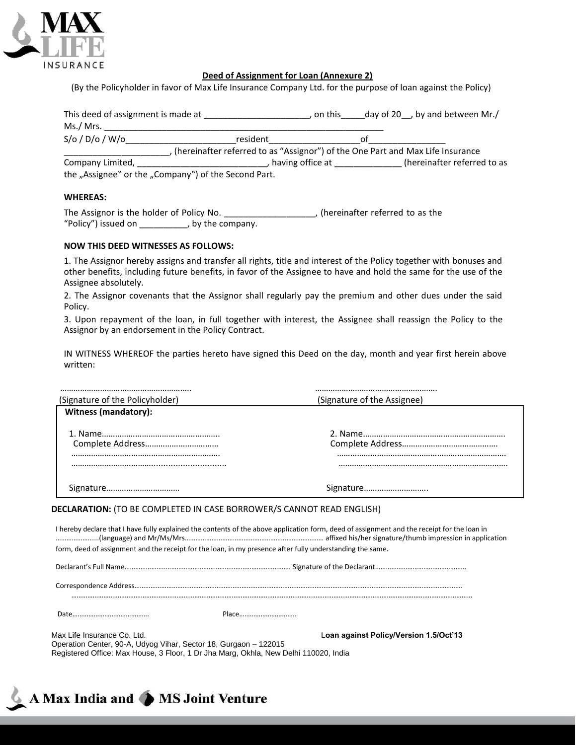

# **Deed of Assignment for Loan (Annexure 2)**

(By the Policyholder in favor of Max Life Insurance Company Ltd. for the purpose of loan against the Policy)

| This deed of assignment is made at |                                                                                | . on this          | day of 20 $\,$ , by and between Mr./ |
|------------------------------------|--------------------------------------------------------------------------------|--------------------|--------------------------------------|
| Ms./ Mrs.                          |                                                                                |                    |                                      |
| $S/O$ / $D/O$ / $W/O$              | resident                                                                       |                    | nt                                   |
|                                    | (hereinafter referred to as "Assignor") of the One Part and Max Life Insurance |                    |                                      |
| Company Limited,                   |                                                                                | , having office at | (hereinafter referred to as          |
|                                    | the "Assignee" or the "Company") of the Second Part.                           |                    |                                      |

### **WHEREAS:**

The Assignor is the holder of Policy No. \_\_\_\_\_\_\_\_\_\_\_\_\_\_\_\_\_\_\_, (hereinafter referred to as the "Policy") issued on \_\_\_\_\_\_\_\_\_\_, by the company.

#### **NOW THIS DEED WITNESSES AS FOLLOWS:**

1. The Assignor hereby assigns and transfer all rights, title and interest of the Policy together with bonuses and other benefits, including future benefits, in favor of the Assignee to have and hold the same for the use of the Assignee absolutely.

2. The Assignor covenants that the Assignor shall regularly pay the premium and other dues under the said Policy.

3. Upon repayment of the loan, in full together with interest, the Assignee shall reassign the Policy to the Assignor by an endorsement in the Policy Contract.

IN WITNESS WHEREOF the parties hereto have signed this Deed on the day, month and year first herein above written:

| (Signature of the Policyholder) | (Signature of the Assignee) |
|---------------------------------|-----------------------------|
| Witness (mandatory):            |                             |
|                                 |                             |
|                                 |                             |
|                                 |                             |
|                                 |                             |
|                                 | Signature                   |

# **DECLARATION:** (TO BE COMPLETED IN CASE BORROWER/S CANNOT READ ENGLISH)

I hereby declare that I have fully explained the contents of the above application form, deed of assignment and the receipt for the loan in …………………...(language) and Mr/Ms/Mrs…………………………………………………………………… affixed his/her signature/thumb impression in application form, deed of assignment and the receipt for the loan, in my presence after fully understanding the same.

| Max Life Insurance Co. Ltd.<br>Operation Center, 90-A, Udyog Vihar, Sector 18, Gurgaon - 122015 | Registered Office: Max House, 3 Floor, 1 Dr Jha Marg, Okhla, New Delhi 110020, India | Loan against Policy/Version 1.5/Oct'13 |
|-------------------------------------------------------------------------------------------------|--------------------------------------------------------------------------------------|----------------------------------------|

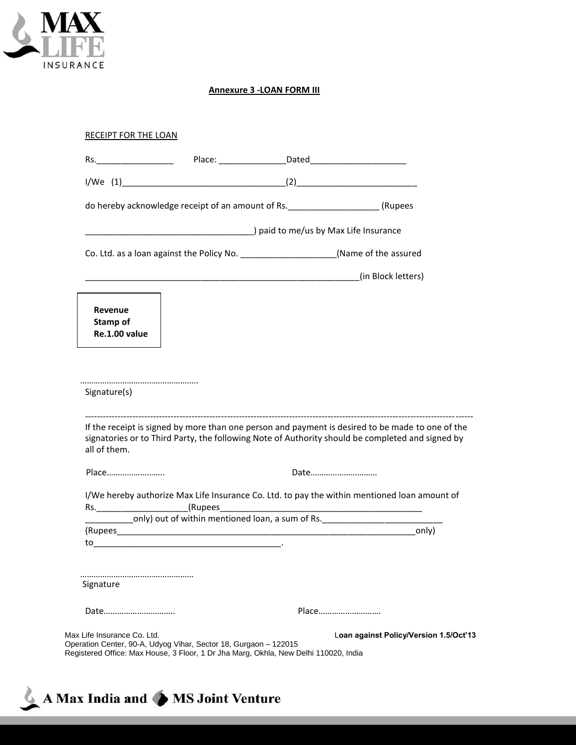

# **Annexure 3 -LOAN FORM III**

|                                      | $1/We$ (1) (2)                                                                    |       |                                                                                                                                                                                                      |
|--------------------------------------|-----------------------------------------------------------------------------------|-------|------------------------------------------------------------------------------------------------------------------------------------------------------------------------------------------------------|
|                                      | do hereby acknowledge receipt of an amount of Rs. ________________________(Rupees |       |                                                                                                                                                                                                      |
|                                      |                                                                                   |       |                                                                                                                                                                                                      |
|                                      | Co. Ltd. as a loan against the Policy No. (Name of the assured                    |       |                                                                                                                                                                                                      |
|                                      |                                                                                   |       | (in Block letters)                                                                                                                                                                                   |
| Revenue<br>Stamp of<br>Re.1.00 value |                                                                                   |       |                                                                                                                                                                                                      |
|                                      |                                                                                   |       |                                                                                                                                                                                                      |
|                                      |                                                                                   |       |                                                                                                                                                                                                      |
|                                      |                                                                                   | Date  | If the receipt is signed by more than one person and payment is desired to be made to one of the<br>signatories or to Third Party, the following Note of Authority should be completed and signed by |
| Place                                |                                                                                   |       |                                                                                                                                                                                                      |
|                                      |                                                                                   |       | I/We hereby authorize Max Life Insurance Co. Ltd. to pay the within mentioned loan amount of                                                                                                         |
| Signature(s)<br>all of them.         | only) out of within mentioned loan, a sum of Rs.                                  |       | only)                                                                                                                                                                                                |
|                                      |                                                                                   |       |                                                                                                                                                                                                      |
|                                      |                                                                                   |       |                                                                                                                                                                                                      |
| Signature<br>Date                    |                                                                                   | Place |                                                                                                                                                                                                      |